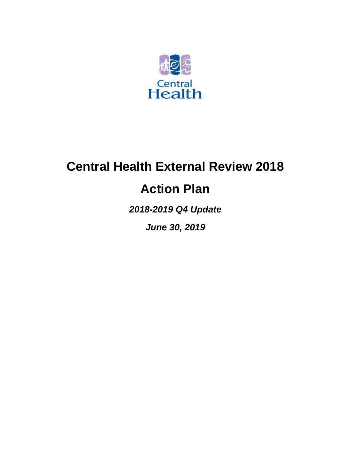

# **Central Health External Review 2018**

# **Action Plan**

*2018-2019 Q4 Update*

*June 30, 2019*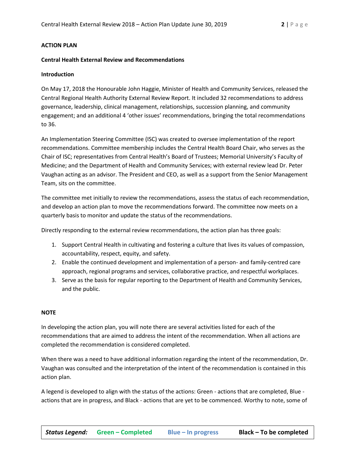## **ACTION PLAN**

### **Central Health External Review and Recommendations**

## **Introduction**

On May 17, 2018 the Honourable John Haggie, Minister of Health and Community Services, released the Central Regional Health Authority External Review Report. It included 32 recommendations to address governance, leadership, clinical management, relationships, succession planning, and community engagement; and an additional 4 'other issues' recommendations, bringing the total recommendations to 36.

An Implementation Steering Committee (ISC) was created to oversee implementation of the report recommendations. Committee membership includes the Central Health Board Chair, who serves as the Chair of ISC; representatives from Central Health's Board of Trustees; Memorial University's Faculty of Medicine; and the Department of Health and Community Services; with external review lead Dr. Peter Vaughan acting as an advisor. The President and CEO, as well as a support from the Senior Management Team, sits on the committee.

The committee met initially to review the recommendations, assess the status of each recommendation, and develop an action plan to move the recommendations forward. The committee now meets on a quarterly basis to monitor and update the status of the recommendations.

Directly responding to the external review recommendations, the action plan has three goals:

- 1. Support Central Health in cultivating and fostering a culture that lives its values of compassion, accountability, respect, equity, and safety.
- 2. Enable the continued development and implementation of a person- and family-centred care approach, regional programs and services, collaborative practice, and respectful workplaces.
- 3. Serve as the basis for regular reporting to the Department of Health and Community Services, and the public.

## **NOTE**

In developing the action plan, you will note there are several activities listed for each of the recommendations that are aimed to address the intent of the recommendation. When all actions are completed the recommendation is considered completed.

When there was a need to have additional information regarding the intent of the recommendation, Dr. Vaughan was consulted and the interpretation of the intent of the recommendation is contained in this action plan.

A legend is developed to align with the status of the actions: Green - actions that are completed, Blue actions that are in progress, and Black - actions that are yet to be commenced. Worthy to note, some of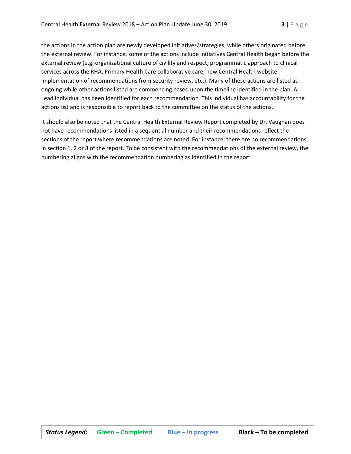the actions in the action plan are newly developed initiatives/strategies, while others originated before the external review. For instance, some of the actions include initiatives Central Health began before the external review (e.g. organizational culture of civility and respect, programmatic approach to clinical services across the RHA, Primary Health Care collaborative care, new Central Health website implementation of recommendations from security review, etc.). Many of these actions are listed as ongoing while other actions listed are commencing based upon the timeline identified in the plan. A Lead individual has been identified for each recommendation. This individual has accountability for the actions list and is responsible to report back to the committee on the status of the actions.

It should also be noted that the Central Health External Review Report completed by Dr. Vaughan does not have recommendations listed in a sequential number and their recommendations reflect the sections of the report where recommendations are noted. For instance, there are no recommendations in section 1, 2 or 8 of the report. To be consistent with the recommendations of the external review, the numbering aligns with the recommendation numbering as identified in the report.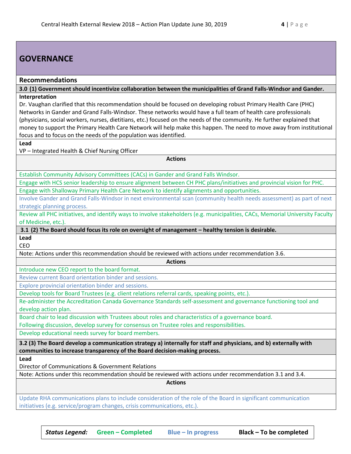## **GOVERNANCE**

## **Recommendations**

**3.0 (1) Government should incentivize collaboration between the municipalities of Grand Falls-Windsor and Gander. Interpretation**

Dr. Vaughan clarified that this recommendation should be focused on developing robust Primary Health Care (PHC) Networks in Gander and Grand Falls-Windsor. These networks would have a full team of health care professionals (physicians, social workers, nurses, dietitians, etc.) focused on the needs of the community. He further explained that money to support the Primary Health Care Network will help make this happen. The need to move away from institutional focus and to focus on the needs of the population was identified.

**Actions**

## **Lead**

VP – Integrated Health & Chief Nursing Officer

Establish Community Advisory Committees (CACs) in Gander and Grand Falls Windsor.

Engage with HCS senior leadership to ensure alignment between CH PHC plans/initiatives and provincial vision for PHC. Engage with Shalloway Primary Health Care Network to identify alignments and opportunities.

Involve Gander and Grand Falls-Windsor in next environmental scan (community health needs assessment) as part of next strategic planning process.

Review all PHC initiatives, and identify ways to involve stakeholders (e.g. municipalities, CACs, Memorial University Faculty of Medicine, etc.).

**3.1 (2) The Board should focus its role on oversight of management – healthy tension is desirable.**

**Lead** CEO

Note: Actions under this recommendation should be reviewed with actions under recommendation 3.6.

**Actions**

Introduce new CEO report to the board format.

Review current Board orientation binder and sessions.

Explore provincial orientation binder and sessions.

Develop tools for Board Trustees (e.g. client relations referral cards, speaking points, etc.).

Re-administer the Accreditation Canada Governance Standards self-assessment and governance functioning tool and develop action plan.

Board chair to lead discussion with Trustees about roles and characteristics of a governance board. Following discussion, develop survey for consensus on Trustee roles and responsibilities.

Develop educational needs survey for board members.

**3.2 (3) The Board develop a communication strategy a) internally for staff and physicians, and b) externally with communities to increase transparency of the Board decision-making process.**

**Lead**

Director of Communications & Government Relations

Note: Actions under this recommendation should be reviewed with actions under recommendation 3.1 and 3.4.

**Actions**

Update RHA communications plans to include consideration of the role of the Board in significant communication initiatives (e.g. service/program changes, crisis communications, etc.).

*Status Legend:* **Green – Completed Blue – In progress Black – To be completed**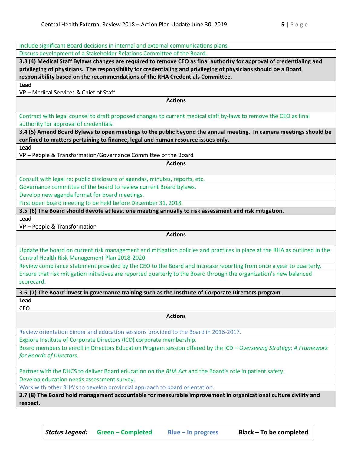Include significant Board decisions in internal and external communications plans. Discuss development of a Stakeholder Relations Committee of the Board. **3.3 (4) Medical Staff Bylaws changes are required to remove CEO as final authority for approval of credentialing and privileging of physicians. The responsibility for credentialing and privileging of physicians should be a Board responsibility based on the recommendations of the RHA Credentials Committee. Lead** VP – Medical Services & Chief of Staff **Actions** Contract with legal counsel to draft proposed changes to current medical staff by-laws to remove the CEO as final authority for approval of credentials. **3.4 (5) Amend Board Bylaws to open meetings to the public beyond the annual meeting. In camera meetings should be confined to matters pertaining to finance, legal and human resource issues only. Lead** VP – People & Transformation/Governance Committee of the Board **Actions** Consult with legal re: public disclosure of agendas, minutes, reports, etc. Governance committee of the board to review current Board bylaws. Develop new agenda format for board meetings. First open board meeting to be held before December 31, 2018. **3.5 (6) The Board should devote at least one meeting annually to risk assessment and risk mitigation.** Lead VP – People & Transformation **Actions** Update the board on current risk management and mitigation policies and practices in place at the RHA as outlined in the Central Health Risk Management Plan 2018-2020. Review compliance statement provided by the CEO to the Board and increase reporting from once a year to quarterly. Ensure that risk mitigation initiatives are reported quarterly to the Board through the organization's new balanced scorecard. **3.6 (7) The Board invest in governance training such as the Institute of Corporate Directors program. Lead** CEO **Actions** Review orientation binder and education sessions provided to the Board in 2016-2017. Explore Institute of Corporate Directors (ICD) corporate membership. Board members to enroll in Directors Education Program session offered by the ICD – *Overseeing Strategy: A Framework for Boards of Directors.*  Partner with the DHCS to deliver Board education on the *RHA Act* and the Board's role in patient safety. Develop education needs assessment survey. Work with other RHA's to develop provincial approach to board orientation. **3.7 (8) The Board hold management accountable for measurable improvement in organizational culture civility and**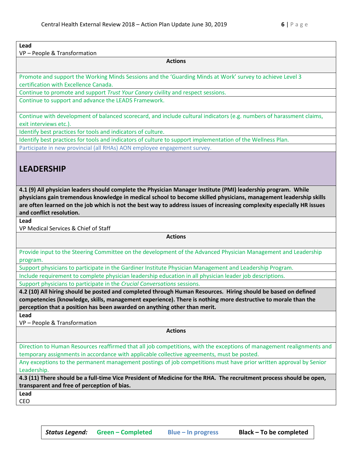## **Lead**

VP – People & Transformation

**Actions**

Promote and support the Working Minds Sessions and the 'Guarding Minds at Work' survey to achieve Level 3 certification with Excellence Canada.

Continue to promote and support *Trust Your Canary* civility and respect sessions.

Continue to support and advance the LEADS Framework.

Continue with development of balanced scorecard, and include cultural indicators (e.g. numbers of harassment claims, exit interviews etc.).

Identify best practices for tools and indicators of culture.

Identify best practices for tools and indicators of culture to support implementation of the Wellness Plan.

Participate in new provincial (all RHAs) AON employee engagement survey.

## **LEADERSHIP**

**4.1 (9) All physician leaders should complete the Physician Manager Institute (PMI) leadership program. While physicians gain tremendous knowledge in medical school to become skilled physicians, management leadership skills are often learned on the job which is not the best way to address issues of increasing complexity especially HR issues and conflict resolution.**

**Lead**

VP Medical Services & Chief of Staff

**Actions**

Provide input to the Steering Committee on the development of the Advanced Physician Management and Leadership program.

Support physicians to participate in the Gardiner Institute Physician Management and Leadership Program.

Include requirement to complete physician leadership education in all physician leader job descriptions.

Support physicians to participate in the *Crucial Conversations* sessions.

**4.2 (10) All hiring should be posted and completed through Human Resources. Hiring should be based on defined competencies (knowledge, skills, management experience). There is nothing more destructive to morale than the perception that a position has been awarded on anything other than merit.**

**Lead**

VP – People & Transformation

**Actions**

Direction to Human Resources reaffirmed that all job competitions, with the exceptions of management realignments and temporary assignments in accordance with applicable collective agreements, must be posted.

Any exceptions to the permanent management postings of job competitions must have prior written approval by Senior Leadership.

**4.3 (11) There should be a full-time Vice President of Medicine for the RHA. The recruitment process should be open, transparent and free of perception of bias.**

**Lead** CEO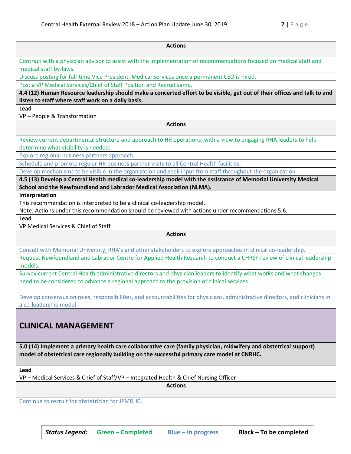| <b>Actions</b>                                                                                                                                                                                                                                  |  |
|-------------------------------------------------------------------------------------------------------------------------------------------------------------------------------------------------------------------------------------------------|--|
| Contract with a physician advisor to assist with the implementation of recommendations focused on medical staff and<br>medical staff by-laws.                                                                                                   |  |
| Discuss posting for full-time Vice President, Medical Services once a permanent CEO is hired.                                                                                                                                                   |  |
| Post a VP Medical Services/Chief of Staff Position and Recruit same.                                                                                                                                                                            |  |
| 4.4 (12) Human Resource leadership should make a concerted effort to be visible, get out of their offices and talk to and<br>listen to staff where staff work on a daily basis.                                                                 |  |
| Lead<br>VP - People & Transformation                                                                                                                                                                                                            |  |
| <b>Actions</b>                                                                                                                                                                                                                                  |  |
| Review current departmental structure and approach to HR operations, with a view to engaging RHA leaders to help                                                                                                                                |  |
| determine what visibility is needed.<br>Explore regional business partners approach.                                                                                                                                                            |  |
| Schedule and promote regular HR business partner visits to all Central Health facilities.                                                                                                                                                       |  |
| Develop mechanisms to be visible in the organization and seek input from staff throughout the organization.                                                                                                                                     |  |
| 4.5 (13) Develop a Central Health medical co-leadership model with the assistance of Memorial University Medical<br>School and the Newfoundland and Labrador Medical Association (NLMA).                                                        |  |
| Interpretation<br>This recommendation is interpreted to be a clinical co-leadership model.<br>Note: Actions under this recommendation should be reviewed with actions under recommendations 5.6.                                                |  |
| Lead                                                                                                                                                                                                                                            |  |
| VP Medical Services & Chief of Staff                                                                                                                                                                                                            |  |
| <b>Actions</b>                                                                                                                                                                                                                                  |  |
| Consult with Memorial University, RHA's and other stakeholders to explore approaches in clinical co-leadership.                                                                                                                                 |  |
| Request Newfoundland and Labrador Centre for Applied Health Research to conduct a CHRSP review of clinical leadership<br>models.                                                                                                                |  |
| Survey current Central Health administrative directors and physician leaders to identify what works and what changes<br>need to be considered to advance a regional approach to the provision of clinical services.                             |  |
| Develop consensus on roles, responsibilities, and accountabilities for physicians, administrative directors, and clinicians in<br>a co-leadership model.                                                                                        |  |
| <b>CLINICAL MANAGEMENT</b><br>5.0 (14) Implement a primary health care collaborative care (family physician, midwifery and obstetrical support)<br>model of obstetrical care regionally building on the successful primary care model at CNRHC. |  |
| Lead<br>VP - Medical Services & Chief of Staff/VP - Integrated Health & Chief Nursing Officer                                                                                                                                                   |  |
| <b>Actions</b>                                                                                                                                                                                                                                  |  |
| Continue to recruit for obstetrician for JPMRHC.                                                                                                                                                                                                |  |
|                                                                                                                                                                                                                                                 |  |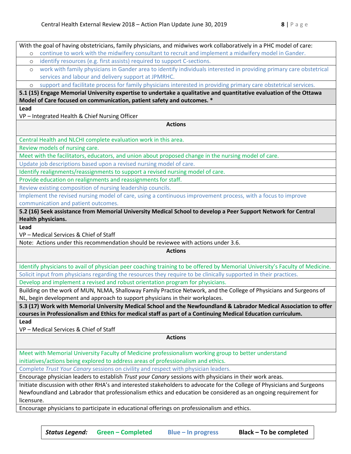With the goal of having obstetricians, family physicians, and midwives work collaboratively in a PHC model of care: o continue to work with the midwifery consultant to recruit and implement a midwifery model in Gander. o identify resources (e.g. first assists) required to support C-sections. o work with family physicians in Gander area to identify individuals interested in providing primary care obstetrical services and labour and delivery support at JPMRHC. o support and facilitate process for family physicians interested in providing primary care obstetrical services. **5.1 (15) Engage Memorial University expertise to undertake a qualitative and quantitative evaluation of the Ottawa Model of Care focused on communication, patient safety and outcomes. \* Lead** VP – Integrated Health & Chief Nursing Officer **Actions** Central Health and NLCHI complete evaluation work in this area. Review models of nursing care. Meet with the facilitators, educators, and union about proposed change in the nursing model of care. Update job descriptions based upon a revised nursing model of care. Identify realignments/reassignments to support a revised nursing model of care. Provide education on realignments and reassignments for staff. Review existing composition of nursing leadership councils. Implement the revised nursing model of care, using a continuous improvement process, with a focus to improve communication and patient outcomes. **5.2 (16) Seek assistance from Memorial University Medical School to develop a Peer Support Network for Central Health physicians. Lead** VP – Medical Services & Chief of Staff Note: Actions under this recommendation should be reviewee with actions under 3.6. **Actions** Identify physicians to avail of physician peer coaching training to be offered by Memorial University's Faculty of Medicine. Solicit input from physicians regarding the resources they require to be clinically supported in their practices. Develop and implement a revised and robust orientation program for physicians. Building on the work of MUN, NLMA, Shalloway Family Practice Network, and the College of Physicians and Surgeons of NL, begin development and approach to support physicians in their workplaces. **5.3 (17) Work with Memorial University Medical School and the Newfoundland & Labrador Medical Association to offer courses in Professionalism and Ethics for medical staff as part of a Continuing Medical Education curriculum. Lead** VP – Medical Services & Chief of Staff **Actions** Meet with Memorial University Faculty of Medicine professionalism working group to better understand initiatives/actions being explored to address areas of professionalism and ethics. Complete *Trust Your Canary* sessions on civility and respect with physician leaders. Encourage physician leaders to establish *Trust your Canary* sessions with physicians in their work areas. Initiate discussion with other RHA's and interested stakeholders to advocate for the College of Physicians and Surgeons Newfoundland and Labrador that professionalism ethics and education be considered as an ongoing requirement for licensure. Encourage physicians to participate in educational offerings on professionalism and ethics.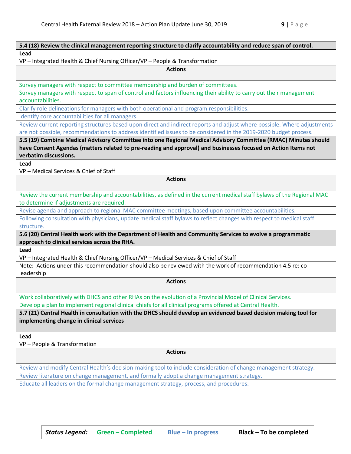| 5.4 (18) Review the clinical management reporting structure to clarify accountability and reduce span of control.                                                                                                                           |
|---------------------------------------------------------------------------------------------------------------------------------------------------------------------------------------------------------------------------------------------|
| Lead                                                                                                                                                                                                                                        |
| VP - Integrated Health & Chief Nursing Officer/VP - People & Transformation                                                                                                                                                                 |
| <b>Actions</b>                                                                                                                                                                                                                              |
|                                                                                                                                                                                                                                             |
| Survey managers with respect to committee membership and burden of committees.                                                                                                                                                              |
| Survey managers with respect to span of control and factors influencing their ability to carry out their management<br>accountabilities.                                                                                                    |
| Clarify role delineations for managers with both operational and program responsibilities.                                                                                                                                                  |
| Identify core accountabilities for all managers.                                                                                                                                                                                            |
| Review current reporting structures based upon direct and indirect reports and adjust where possible. Where adjustments<br>are not possible, recommendations to address identified issues to be considered in the 2019-2020 budget process. |
| 5.5 (19) Combine Medical Advisory Committee into one Regional Medical Advisory Committee (RMAC) Minutes should                                                                                                                              |
| have Consent Agendas (matters related to pre-reading and approval) and businesses focused on Action Items not                                                                                                                               |
| verbatim discussions.                                                                                                                                                                                                                       |
| Lead                                                                                                                                                                                                                                        |
| VP - Medical Services & Chief of Staff                                                                                                                                                                                                      |
| <b>Actions</b>                                                                                                                                                                                                                              |
|                                                                                                                                                                                                                                             |
| Review the current membership and accountabilities, as defined in the current medical staff bylaws of the Regional MAC                                                                                                                      |
| to determine if adjustments are required.                                                                                                                                                                                                   |
| Revise agenda and approach to regional MAC committee meetings, based upon committee accountabilities.                                                                                                                                       |
| Following consultation with physicians, update medical staff bylaws to reflect changes with respect to medical staff<br>structure.                                                                                                          |
| 5.6 (20) Central Health work with the Department of Health and Community Services to evolve a programmatic                                                                                                                                  |
| approach to clinical services across the RHA.                                                                                                                                                                                               |
| Lead                                                                                                                                                                                                                                        |
| VP - Integrated Health & Chief Nursing Officer/VP - Medical Services & Chief of Staff                                                                                                                                                       |
| Note: Actions under this recommendation should also be reviewed with the work of recommendation 4.5 re: co-                                                                                                                                 |
| leadership                                                                                                                                                                                                                                  |
| <b>Actions</b>                                                                                                                                                                                                                              |
| Work collaboratively with DHCS and other RHAs on the evolution of a Provincial Model of Clinical Services.                                                                                                                                  |
| Develop a plan to implement regional clinical chiefs for all clinical programs offered at Central Health.                                                                                                                                   |
| 5.7 (21) Central Health in consultation with the DHCS should develop an evidenced based decision making tool for                                                                                                                            |
| implementing change in clinical services                                                                                                                                                                                                    |
| Lead                                                                                                                                                                                                                                        |
| VP - People & Transformation                                                                                                                                                                                                                |
| <b>Actions</b>                                                                                                                                                                                                                              |
| Review and modify Central Health's decision-making tool to include consideration of change management strategy.                                                                                                                             |
| Review literature on change management, and formally adopt a change management strategy.                                                                                                                                                    |
| Educate all leaders on the formal change management strategy, process, and procedures.                                                                                                                                                      |
|                                                                                                                                                                                                                                             |
|                                                                                                                                                                                                                                             |
|                                                                                                                                                                                                                                             |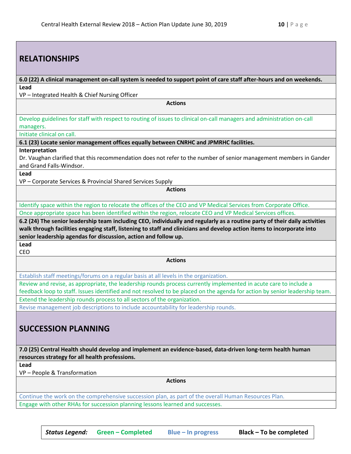| <b>RELATIONSHIPS</b>                                                                                                                                                                                                                                                                                                    |
|-------------------------------------------------------------------------------------------------------------------------------------------------------------------------------------------------------------------------------------------------------------------------------------------------------------------------|
|                                                                                                                                                                                                                                                                                                                         |
| 6.0 (22) A clinical management on-call system is needed to support point of care staff after-hours and on weekends.                                                                                                                                                                                                     |
| Lead<br>VP-Integrated Health & Chief Nursing Officer                                                                                                                                                                                                                                                                    |
| <b>Actions</b>                                                                                                                                                                                                                                                                                                          |
|                                                                                                                                                                                                                                                                                                                         |
| Develop guidelines for staff with respect to routing of issues to clinical on-call managers and administration on-call<br>managers.                                                                                                                                                                                     |
| Initiate clinical on call.                                                                                                                                                                                                                                                                                              |
| 6.1 (23) Locate senior management offices equally between CNRHC and JPMRHC facilities.                                                                                                                                                                                                                                  |
| Interpretation<br>Dr. Vaughan clarified that this recommendation does not refer to the number of senior management members in Gander<br>and Grand Falls-Windsor.                                                                                                                                                        |
| Lead                                                                                                                                                                                                                                                                                                                    |
| VP - Corporate Services & Provincial Shared Services Supply                                                                                                                                                                                                                                                             |
| <b>Actions</b>                                                                                                                                                                                                                                                                                                          |
| Identify space within the region to relocate the offices of the CEO and VP Medical Services from Corporate Office.                                                                                                                                                                                                      |
| Once appropriate space has been identified within the region, relocate CEO and VP Medical Services offices.                                                                                                                                                                                                             |
| 6.2 (24) The senior leadership team including CEO, individually and regularly as a routine party of their daily activities<br>walk through facilities engaging staff, listening to staff and clinicians and develop action items to incorporate into<br>senior leadership agendas for discussion, action and follow up. |
|                                                                                                                                                                                                                                                                                                                         |
| Lead<br>CEO                                                                                                                                                                                                                                                                                                             |
| <b>Actions</b>                                                                                                                                                                                                                                                                                                          |
| Establish staff meetings/forums on a regular basis at all levels in the organization.                                                                                                                                                                                                                                   |
| Review and revise, as appropriate, the leadership rounds process currently implemented in acute care to include a<br>feedback loop to staff. Issues identified and not resolved to be placed on the agenda for action by senior leadership team.                                                                        |
| Extend the leadership rounds process to all sectors of the organization.                                                                                                                                                                                                                                                |
| Revise management job descriptions to include accountability for leadership rounds.                                                                                                                                                                                                                                     |
| <b>SUCCESSION PLANNING</b>                                                                                                                                                                                                                                                                                              |
| 7.0 (25) Central Health should develop and implement an evidence-based, data-driven long-term health human<br>resources strategy for all health professions.                                                                                                                                                            |
| Lead                                                                                                                                                                                                                                                                                                                    |
| VP - People & Transformation                                                                                                                                                                                                                                                                                            |
| <b>Actions</b>                                                                                                                                                                                                                                                                                                          |
| Continue the work on the comprehensive succession plan, as part of the overall Human Resources Plan.<br>Engage with other RHAs for succession planning lessons learned and successes.                                                                                                                                   |

*Status Legend:* **Green – Completed Blue – In progress Black – To be completed**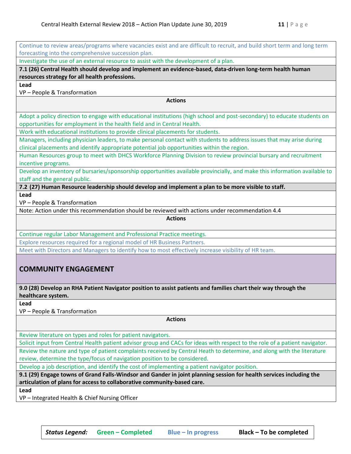| Continue to review areas/programs where vacancies exist and are difficult to recruit, and build short term and long term                                                                            |
|-----------------------------------------------------------------------------------------------------------------------------------------------------------------------------------------------------|
| forecasting into the comprehensive succession plan.                                                                                                                                                 |
| Investigate the use of an external resource to assist with the development of a plan.                                                                                                               |
| 7.1 (26) Central Health should develop and implement an evidence-based, data-driven long-term health human                                                                                          |
| resources strategy for all health professions.                                                                                                                                                      |
| Lead                                                                                                                                                                                                |
| VP - People & Transformation                                                                                                                                                                        |
| <b>Actions</b>                                                                                                                                                                                      |
| Adopt a policy direction to engage with educational institutions (high school and post-secondary) to educate students on<br>opportunities for employment in the health field and in Central Health. |
| Work with educational institutions to provide clinical placements for students.                                                                                                                     |
| Managers, including physician leaders, to make personal contact with students to address issues that may arise during                                                                               |
| clinical placements and identify appropriate potential job opportunities within the region.                                                                                                         |
| Human Resources group to meet with DHCS Workforce Planning Division to review provincial bursary and recruitment<br>incentive programs.                                                             |
| Develop an inventory of bursaries/sponsorship opportunities available provincially, and make this information available to                                                                          |
| staff and the general public.                                                                                                                                                                       |
| 7.2 (27) Human Resource leadership should develop and implement a plan to be more visible to staff.                                                                                                 |
| Lead                                                                                                                                                                                                |
| VP - People & Transformation                                                                                                                                                                        |
| Note: Action under this recommendation should be reviewed with actions under recommendation 4.4                                                                                                     |
| <b>Actions</b>                                                                                                                                                                                      |
| Continue regular Labor Management and Professional Practice meetings.                                                                                                                               |
| Explore resources required for a regional model of HR Business Partners.                                                                                                                            |
| Meet with Directors and Managers to identify how to most effectively increase visibility of HR team.                                                                                                |
|                                                                                                                                                                                                     |
| <b>COMMUNITY ENGAGEMENT</b>                                                                                                                                                                         |
|                                                                                                                                                                                                     |
| 9.0 (28) Develop an RHA Patient Navigator position to assist patients and families chart their way through the                                                                                      |
| healthcare system.                                                                                                                                                                                  |
| Lead                                                                                                                                                                                                |
| VP - People & Transformation                                                                                                                                                                        |
| <b>Actions</b>                                                                                                                                                                                      |
|                                                                                                                                                                                                     |
| Review literature on types and roles for patient navigators.                                                                                                                                        |
| Solicit input from Central Health patient advisor group and CACs for ideas with respect to the role of a patient navigator.                                                                         |
| Review the nature and type of patient complaints received by Central Heath to determine, and along with the literature                                                                              |
| review, determine the type/focus of navigation position to be considered.                                                                                                                           |

Develop a job description, and identify the cost of implementing a patient navigator position.

**9.1 (29) Engage towns of Grand Falls-Windsor and Gander in joint planning session for health services including the articulation of plans for access to collaborative community-based care.**

**Lead**

VP – Integrated Health & Chief Nursing Officer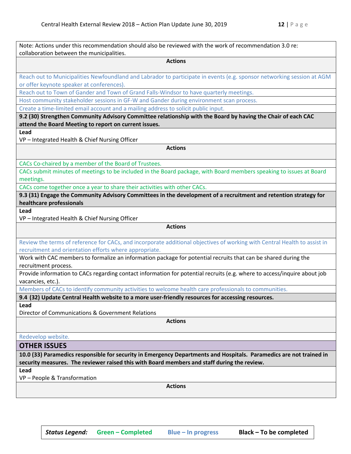| Note: Actions under this recommendation should also be reviewed with the work of recommendation 3.0 re:<br>collaboration between the municipalities.                                                               |
|--------------------------------------------------------------------------------------------------------------------------------------------------------------------------------------------------------------------|
| <b>Actions</b>                                                                                                                                                                                                     |
| Reach out to Municipalities Newfoundland and Labrador to participate in events (e.g. sponsor networking session at AGM<br>or offer keynote speaker at conferences).                                                |
| Reach out to Town of Gander and Town of Grand Falls-Windsor to have quarterly meetings.                                                                                                                            |
| Host community stakeholder sessions in GF-W and Gander during environment scan process.                                                                                                                            |
| Create a time-limited email account and a mailing address to solicit public input.                                                                                                                                 |
| 9.2 (30) Strengthen Community Advisory Committee relationship with the Board by having the Chair of each CAC<br>attend the Board Meeting to report on current issues.                                              |
| Lead                                                                                                                                                                                                               |
| VP-Integrated Health & Chief Nursing Officer                                                                                                                                                                       |
| <b>Actions</b>                                                                                                                                                                                                     |
| CACs Co-chaired by a member of the Board of Trustees.                                                                                                                                                              |
| CACs submit minutes of meetings to be included in the Board package, with Board members speaking to issues at Board<br>meetings.                                                                                   |
| CACs come together once a year to share their activities with other CACs.                                                                                                                                          |
| 9.3 (31) Engage the Community Advisory Committees in the development of a recruitment and retention strategy for<br>healthcare professionals                                                                       |
| Lead                                                                                                                                                                                                               |
| VP-Integrated Health & Chief Nursing Officer                                                                                                                                                                       |
| <b>Actions</b>                                                                                                                                                                                                     |
| Review the terms of reference for CACs, and incorporate additional objectives of working with Central Health to assist in<br>recruitment and orientation efforts where appropriate.                                |
| Work with CAC members to formalize an information package for potential recruits that can be shared during the<br>recruitment process.                                                                             |
| Provide information to CACs regarding contact information for potential recruits (e.g. where to access/inquire about job<br>vacancies, etc.).                                                                      |
| Members of CACs to identify community activities to welcome health care professionals to communities.                                                                                                              |
| 9.4 (32) Update Central Health website to a more user-friendly resources for accessing resources.                                                                                                                  |
| Lead                                                                                                                                                                                                               |
| Director of Communications & Government Relations                                                                                                                                                                  |
| <b>Actions</b>                                                                                                                                                                                                     |
| Redevelop website.                                                                                                                                                                                                 |
| <b>OTHER ISSUES</b>                                                                                                                                                                                                |
| 10.0 (33) Paramedics responsible for security in Emergency Departments and Hospitals. Paramedics are not trained in<br>security measures. The reviewer raised this with Board members and staff during the review. |
| Lead                                                                                                                                                                                                               |
| VP - People & Transformation                                                                                                                                                                                       |
| <b>Actions</b>                                                                                                                                                                                                     |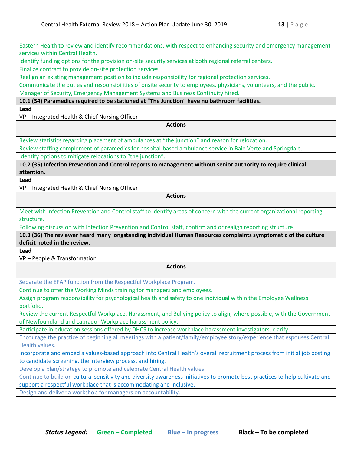| Eastern Health to review and identify recommendations, with respect to enhancing security and emergency management             |
|--------------------------------------------------------------------------------------------------------------------------------|
| services within Central Health.                                                                                                |
| Identify funding options for the provision on-site security services at both regional referral centers.                        |
| Finalize contract to provide on-site protection services.                                                                      |
| Realign an existing management position to include responsibility for regional protection services.                            |
| Communicate the duties and responsibilities of onsite security to employees, physicians, volunteers, and the public.           |
| Manager of Security, Emergency Management Systems and Business Continuity hired.                                               |
| 10.1 (34) Paramedics required to be stationed at "The Junction" have no bathroom facilities.                                   |
| Lead                                                                                                                           |
| VP - Integrated Health & Chief Nursing Officer<br><b>Actions</b>                                                               |
|                                                                                                                                |
| Review statistics regarding placement of ambulances at "the junction" and reason for relocation.                               |
| Review staffing complement of paramedics for hospital-based ambulance service in Baie Verte and Springdale.                    |
| Identify options to mitigate relocations to "the junction".                                                                    |
| 10.2 (35) Infection Prevention and Control reports to management without senior authority to require clinical                  |
| attention.                                                                                                                     |
| Lead                                                                                                                           |
| VP - Integrated Health & Chief Nursing Officer                                                                                 |
| <b>Actions</b>                                                                                                                 |
| Meet with Infection Prevention and Control staff to identify areas of concern with the current organizational reporting        |
| structure.                                                                                                                     |
| Following discussion with Infection Prevention and Control staff, confirm and or realign reporting structure.                  |
| 10.3 (36) The reviewer heard many longstanding individual Human Resources complaints symptomatic of the culture                |
| deficit noted in the review.                                                                                                   |
| Lead                                                                                                                           |
| VP - People & Transformation                                                                                                   |
| <b>Actions</b>                                                                                                                 |
| Separate the EFAP function from the Respectful Workplace Program.                                                              |
| Continue to offer the Working Minds training for managers and employees.                                                       |
| Assign program responsibility for psychological health and safety to one individual within the Employee Wellness<br>portfolio. |
| Review the current Respectful Workplace, Harassment, and Bullying policy to align, where possible, with the Government         |
| of Newfoundland and Labrador Workplace harassment policy.                                                                      |
| Participate in education sessions offered by DHCS to increase workplace harassment investigators. clarify                      |
| Encourage the practice of beginning all meetings with a patient/family/employee story/experience that espouses Central         |
| Health values.                                                                                                                 |
| Incorporate and embed a values-based approach into Central Health's overall recruitment process from initial job posting       |
| to candidate screening, the interview process, and hiring.                                                                     |
| Develop a plan/strategy to promote and celebrate Central Health values.                                                        |
| Continue to build on cultural sensitivity and diversity awareness initiatives to promote best practices to help cultivate and  |
| support a respectful workplace that is accommodating and inclusive.                                                            |
| Design and deliver a workshop for managers on accountability.                                                                  |
|                                                                                                                                |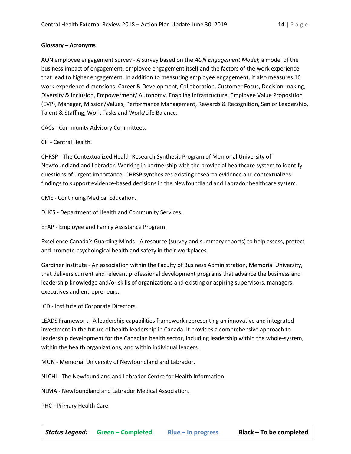#### **Glossary – Acronyms**

AON employee engagement survey - A survey based on the *AON Engagement Model*; a model of the business impact of engagement, employee engagement itself and the factors of the work experience that lead to higher engagement. In addition to measuring employee engagement, it also measures 16 work-experience dimensions: Career & Development, Collaboration, Customer Focus, Decision-making, Diversity & Inclusion, Empowerment/ Autonomy, Enabling Infrastructure, Employee Value Proposition (EVP), Manager, Mission/Values, Performance Management, Rewards & Recognition, Senior Leadership, Talent & Staffing, Work Tasks and Work/Life Balance.

CACs - Community Advisory Committees.

CH - Central Health.

CHRSP - The Contextualized Health Research Synthesis Program of Memorial University of Newfoundland and Labrador. Working in partnership with the provincial healthcare system to identify questions of urgent importance, CHRSP synthesizes existing research evidence and contextualizes findings to support evidence-based decisions in the Newfoundland and Labrador healthcare system.

CME - Continuing Medical Education.

DHCS - Department of Health and Community Services.

EFAP - Employee and Family Assistance Program.

Excellence Canada's Guarding Minds - A resource (survey and summary reports) to help assess, protect and promote psychological health and safety in their workplaces.

Gardiner Institute - An association within the Faculty of Business Administration, Memorial University, that delivers current and relevant professional development programs that advance the business and leadership knowledge and/or skills of organizations and existing or aspiring supervisors, managers, executives and entrepreneurs.

ICD - Institute of Corporate Directors.

LEADS Framework - A leadership capabilities framework representing an innovative and integrated investment in the future of health leadership in Canada. It provides a comprehensive approach to leadership development for the Canadian health sector, including leadership within the whole-system, within the health organizations, and within individual leaders.

MUN - Memorial University of Newfoundland and Labrador.

NLCHI - The Newfoundland and Labrador Centre for Health Information.

NLMA - Newfoundland and Labrador Medical Association.

PHC - Primary Health Care.